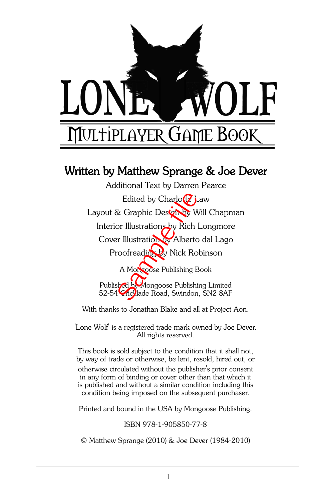

#### Written by Matthew Sprange & Joe Dever

A Mongoose Publishing Book Published by Mongoose Publishing Limited 52-54 Cric lade Road, Swindon, SN2 8AF Additional Text by Darren Pearce Edited by Charlotz Law Layout & Graphic Design by Will Chapman Interior Illustrations by Rich Longmore Cover Illustration by Alberto dal Lago Edited by Charlo *C* jaw<br>
t & Graphic Destantly Will Charlor<br>
Froofreading by Rich Longm<br>
ver Illustration by Alberto dal La<br>
Proofreading by Nick Robinson<br>
A Morgose Publishing Book<br>
blisk Ci Mongoose Publishing Limi<br>
54

With thanks to Jonathan Blake and all at Project Aon.

'Lone Wolf' is a registered trade mark owned by Joe Dever. All rights reserved.

This book is sold subject to the condition that it shall not, by way of trade or otherwise, be lent, resold, hired out, or otherwise circulated without the publisher's prior consent in any form of binding or cover other than that which it is published and without a similar condition including this condition being imposed on the subsequent purchaser.

Printed and bound in the USA by Mongoose Publishing.

ISBN 978-1-905850-77-8

© Matthew Sprange (2010) & Joe Dever (1984-2010)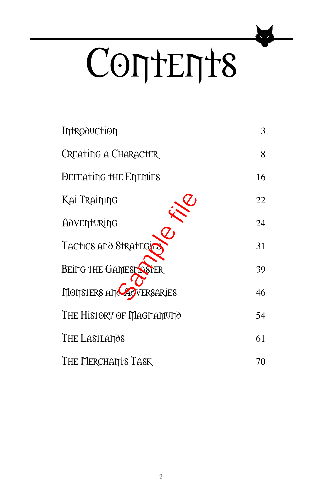# CONTENT8

| <b>Introduction</b>          | 3  |
|------------------------------|----|
| CREATING A CHARACTER         | 8  |
| <b>DEFEATING THE ENEMIES</b> | 16 |
| Kai Training                 | 22 |
| AOVENTURING                  | 24 |
| TACTICS AND STRATEGICS       | 31 |
| <b>BEING THE GAMEST STER</b> | 39 |
| MONSTERS AND ACVERSARIES     | 46 |
| THE HISTORY OF MAGNAMUNO     | 54 |
| THE LASTLANOS                | 61 |
| THE MERCHART'S TASK          | 70 |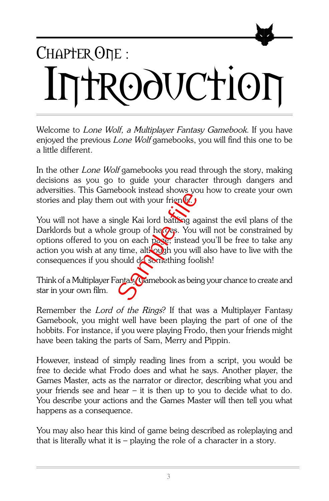## CHAPTER ONE: Introduction

Welcome to Lone Wolf, a Multiplayer Fantasy Gamebook. If you have enjoyed the previous Lone Wolf gamebooks, you will find this one to be a little different.

In the other Lone Wolf gamebooks you read through the story, making decisions as you go to guide your character through dangers and adversities. This Gamebook instead shows you how to create your own stories and play them out with your frien $\mathcal{G}$ .

You will not have a single Kai lord battling against the evil plans of the Darklords but a whole group of heroes. You will not be constrained by options offered to you on each page; instead you'll be free to take any action you wish at any time, although you will also have to live with the consequences if you should do something foolish! out with your friend.<br>
Sample Kai lord battling as<br>
proup of heres. You<br>
i on each paste; instead<br>
y time, alt:<br>
by you will hould describe thing for<br>
antasy manebook as bein

Think of a Multiplayer Fantasy Gamebook as being your chance to create and star in your own film.

Remember the Lord of the Rings? If that was a Multiplayer Fantasy Gamebook, you might well have been playing the part of one of the hobbits. For instance, if you were playing Frodo, then your friends might have been taking the parts of Sam, Merry and Pippin.

However, instead of simply reading lines from a script, you would be free to decide what Frodo does and what he says. Another player, the Games Master, acts as the narrator or director, describing what you and your friends see and hear – it is then up to you to decide what to do. You describe your actions and the Games Master will then tell you what happens as a consequence.

You may also hear this kind of game being described as roleplaying and that is literally what it is – playing the role of a character in a story.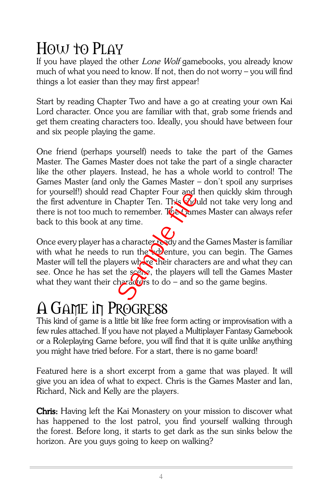#### HOW to PLAY

If you have played the other Lone Wolf gamebooks, you already know much of what you need to know. If not, then do not worry – you will find things a lot easier than they may first appear!

Start by reading Chapter Two and have a go at creating your own Kai Lord character. Once you are familiar with that, grab some friends and get them creating characters too. Ideally, you should have between four and six people playing the game.

One friend (perhaps yourself) needs to take the part of the Games Master. The Games Master does not take the part of a single character like the other players. Instead, he has a whole world to control! The Games Master (and only the Games Master – don't spoil any surprises for yourself!) should read Chapter Four and then quickly skim through the first adventure in Chapter Ten. This **hould** not take very long and there is not too much to remember. The Games Master can always refer back to this book at any time.

Once every player has a character ready and the Games Master is familiar with what he needs to run the denture, you can begin. The Games Master will tell the players where their characters are and what they can see. Once he has set the scene, the players will tell the Games Master what they want their characters to do – and so the game begins. ead Chapter Four and<br>Chapter Ten. This Community<br>to remember. The Sample filed<br>any time.<br>a character ready and the origin of the space, the players<br>therefore the space of the players<br>therefore to do – and s

#### A Game in Progress

This kind of game is a little bit like free form acting or improvisation with a few rules attached. If you have not played a Multiplayer Fantasy Gamebook or a Roleplaying Game before, you will find that it is quite unlike anything you might have tried before. For a start, there is no game board!

Featured here is a short excerpt from a game that was played. It will give you an idea of what to expect. Chris is the Games Master and Ian, Richard, Nick and Kelly are the players.

**Chris:** Having left the Kai Monastery on your mission to discover what has happened to the lost patrol, you find yourself walking through the forest. Before long, it starts to get dark as the sun sinks below the horizon. Are you guys going to keep on walking?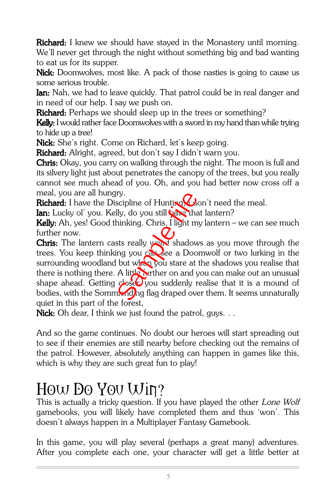Richard: I knew we should have stayed in the Monastery until morning. We'll never get through the night without something big and bad wanting to eat us for its supper.

Nick: Doomwolves, most like. A pack of those nasties is going to cause us some serious trouble.

**Ian:** Nah, we had to leave quickly. That patrol could be in real danger and in need of our help. I say we push on.

**Richard:** Perhaps we should sleep up in the trees or something?

Kelly: I would rather face Doomwolves with a sword in my hand than while trying to hide up a tree!

Nick: She's right. Come on Richard, let's keep going.

Richard: Alright, agreed, but don't say I didn't warn you.

**Chris:** Okay, you carry on walking through the night. The moon is full and its silvery light just about penetrates the canopy of the trees, but you really cannot see much ahead of you. Oh, and you had better now cross off a meal, you are all hungry.

Richard: I have the Discipline of Hunting  $\bigcirc$  on't need the meal.

Ian: Lucky ol' you. Kelly, do you still **have that lantern?** 

Kelly: Ah, yes! Good thinking. Chris, I light my lantern – we can see much further now.

**Chris:** The lantern casts really  $y$  is shadows as you move through the trees. You keep thinking you case a Doomwolf or two lurking in the surrounding woodland but when you stare at the shadows you realise that there is nothing there. A little further on and you can make out an unusual shape ahead. Getting  $\frac{1}{2}$ see you suddenly realise that it is a mound of bodies, with the Sommending flag draped over them. It seems unnaturally quiet in this part of the forest, Fry.<br>
scipline of Hunting China<br>
Illy, do you still the hinking. Chris, I light m<br>
sts really word shadow<br>
ing you called a Doo<br>
but when you stare at<br>
A little wrther on and y<br>
dose you suddenly r

Nick: Oh dear, I think we just found the patrol, guys.  $\ldots$ 

And so the game continues. No doubt our heroes will start spreading out to see if their enemies are still nearby before checking out the remains of the patrol. However, absolutely anything can happen in games like this, which is why they are such great fun to play!

#### How Do You Win?

This is actually a tricky question. If you have played the other Lone Wolf gamebooks, you will likely have completed them and thus 'won'. This doesn't always happen in a Multiplayer Fantasy Gamebook.

In this game, you will play several (perhaps a great many) adventures. After you complete each one, your character will get a little better at